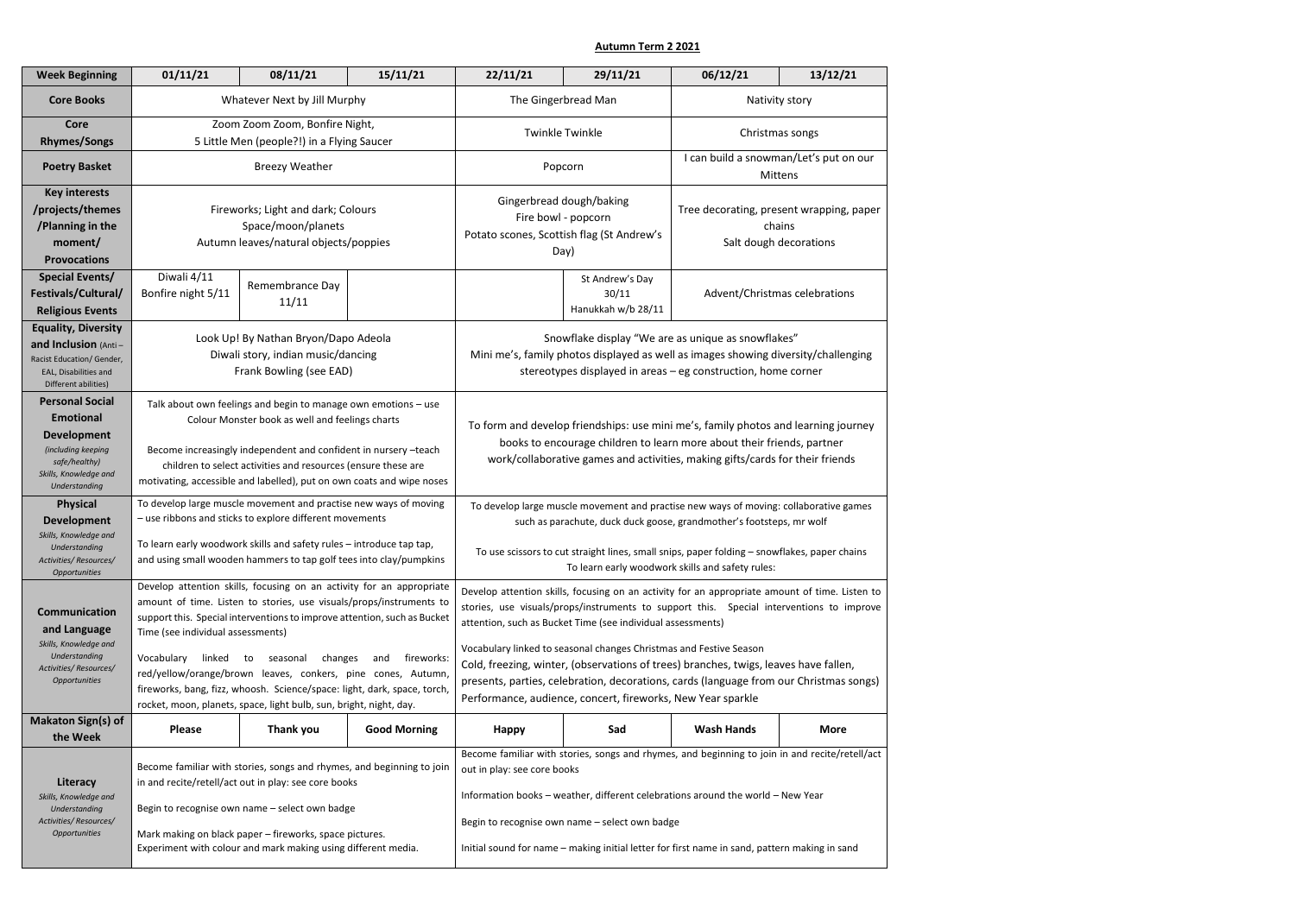**Autumn Term 2 2021**

| <b>Core Books</b>                                                                                                                                        |                                                                                                                                                                                                                                                                                                             |                                                                                                                                                                                                                                                                                                                                |                     |                                                                                                                                                                                                                                                                                                                                                                     |                                                | 06/12/21                                                                     | 13/12/21    |  |
|----------------------------------------------------------------------------------------------------------------------------------------------------------|-------------------------------------------------------------------------------------------------------------------------------------------------------------------------------------------------------------------------------------------------------------------------------------------------------------|--------------------------------------------------------------------------------------------------------------------------------------------------------------------------------------------------------------------------------------------------------------------------------------------------------------------------------|---------------------|---------------------------------------------------------------------------------------------------------------------------------------------------------------------------------------------------------------------------------------------------------------------------------------------------------------------------------------------------------------------|------------------------------------------------|------------------------------------------------------------------------------|-------------|--|
|                                                                                                                                                          | Whatever Next by Jill Murphy                                                                                                                                                                                                                                                                                |                                                                                                                                                                                                                                                                                                                                |                     | The Gingerbread Man                                                                                                                                                                                                                                                                                                                                                 |                                                | Nativity story                                                               |             |  |
| <b>Core</b><br><b>Rhymes/Songs</b>                                                                                                                       | Zoom Zoom Zoom, Bonfire Night,                                                                                                                                                                                                                                                                              |                                                                                                                                                                                                                                                                                                                                |                     | <b>Twinkle Twinkle</b>                                                                                                                                                                                                                                                                                                                                              |                                                | Christmas songs                                                              |             |  |
|                                                                                                                                                          | 5 Little Men (people?!) in a Flying Saucer                                                                                                                                                                                                                                                                  |                                                                                                                                                                                                                                                                                                                                |                     |                                                                                                                                                                                                                                                                                                                                                                     |                                                | I can build a snowman/Let's put on our                                       |             |  |
| <b>Poetry Basket</b>                                                                                                                                     | <b>Breezy Weather</b>                                                                                                                                                                                                                                                                                       |                                                                                                                                                                                                                                                                                                                                |                     | Popcorn                                                                                                                                                                                                                                                                                                                                                             |                                                | <b>Mittens</b>                                                               |             |  |
| <b>Key interests</b><br>/projects/themes<br>/Planning in the<br>moment/<br><b>Provocations</b>                                                           | Fireworks; Light and dark; Colours<br>Space/moon/planets<br>Autumn leaves/natural objects/poppies                                                                                                                                                                                                           |                                                                                                                                                                                                                                                                                                                                |                     | Gingerbread dough/baking<br>Fire bowl - popcorn<br>Potato scones, Scottish flag (St Andrew's<br>Day)                                                                                                                                                                                                                                                                |                                                | Tree decorating, present wrapping, paper<br>chains<br>Salt dough decorations |             |  |
| Special Events/<br>Festivals/Cultural/<br><b>Religious Events</b>                                                                                        | Diwali 4/11<br>Bonfire night 5/11                                                                                                                                                                                                                                                                           | Remembrance Day<br>11/11                                                                                                                                                                                                                                                                                                       |                     |                                                                                                                                                                                                                                                                                                                                                                     | St Andrew's Day<br>30/11<br>Hanukkah w/b 28/11 | Advent/Christmas celebrations                                                |             |  |
| <b>Equality, Diversity</b><br>and Inclusion (Anti-<br>Racist Education/ Gender,<br>EAL, Disabilities and<br>Different abilities)                         | Look Up! By Nathan Bryon/Dapo Adeola<br>Diwali story, indian music/dancing<br>Frank Bowling (see EAD)                                                                                                                                                                                                       |                                                                                                                                                                                                                                                                                                                                |                     | Snowflake display "We are as unique as snowflakes"<br>Mini me's, family photos displayed as well as images showing diversity/challenging<br>stereotypes displayed in areas - eg construction, home corner                                                                                                                                                           |                                                |                                                                              |             |  |
| <b>Personal Social</b><br><b>Emotional</b><br><b>Development</b><br>(including keeping<br>safe/healthy)<br>Skills, Knowledge and<br><b>Understanding</b> |                                                                                                                                                                                                                                                                                                             | Talk about own feelings and begin to manage own emotions - use<br>Colour Monster book as well and feelings charts<br>Become increasingly independent and confident in nursery -teach<br>children to select activities and resources (ensure these are<br>motivating, accessible and labelled), put on own coats and wipe noses |                     | To form and develop friendships: use mini me's, family photos and learning journey<br>books to encourage children to learn more about their friends, partner<br>work/collaborative games and activities, making gifts/cards for their friends                                                                                                                       |                                                |                                                                              |             |  |
| <b>Physical</b><br><b>Development</b><br>Skills, Knowledge and                                                                                           | To develop large muscle movement and practise new ways of moving<br>- use ribbons and sticks to explore different movements<br>To learn early woodwork skills and safety rules - introduce tap tap,                                                                                                         |                                                                                                                                                                                                                                                                                                                                |                     | To develop large muscle movement and practise new ways of moving: collaborative games<br>such as parachute, duck duck goose, grandmother's footsteps, mr wolf                                                                                                                                                                                                       |                                                |                                                                              |             |  |
| Understanding<br>Activities/Resources/<br><b>Opportunities</b>                                                                                           |                                                                                                                                                                                                                                                                                                             | and using small wooden hammers to tap golf tees into clay/pumpkins                                                                                                                                                                                                                                                             |                     | To use scissors to cut straight lines, small snips, paper folding - snowflakes, paper chains<br>To learn early woodwork skills and safety rules:                                                                                                                                                                                                                    |                                                |                                                                              |             |  |
| <b>Communication</b><br>and Language                                                                                                                     | Develop attention skills, focusing on an activity for an appropriate<br>amount of time. Listen to stories, use visuals/props/instruments to<br>support this. Special interventions to improve attention, such as Bucket<br>Time (see individual assessments)                                                |                                                                                                                                                                                                                                                                                                                                |                     | Develop attention skills, focusing on an activity for an appropriate amount of time. Listen to<br>stories, use visuals/props/instruments to support this. Special interventions to improve<br>attention, such as Bucket Time (see individual assessments)                                                                                                           |                                                |                                                                              |             |  |
| Skills, Knowledge and<br>Understanding<br>Activities/Resources/<br>Opportunities                                                                         | Vocabulary<br>linked                                                                                                                                                                                                                                                                                        | changes<br>to<br>seasonal<br>red/yellow/orange/brown leaves, conkers, pine cones, Autumn,<br>fireworks, bang, fizz, whoosh. Science/space: light, dark, space, torch,<br>rocket, moon, planets, space, light bulb, sun, bright, night, day.                                                                                    | fireworks:<br>and   | Vocabulary linked to seasonal changes Christmas and Festive Season<br>Cold, freezing, winter, (observations of trees) branches, twigs, leaves have fallen,<br>presents, parties, celebration, decorations, cards (language from our Christmas songs)<br>Performance, audience, concert, fireworks, New Year sparkle                                                 |                                                |                                                                              |             |  |
| <b>Makaton Sign(s) of</b><br>the Week                                                                                                                    | <b>Please</b>                                                                                                                                                                                                                                                                                               | Thank you                                                                                                                                                                                                                                                                                                                      | <b>Good Morning</b> | <b>Happy</b>                                                                                                                                                                                                                                                                                                                                                        | Sad                                            | <b>Wash Hands</b>                                                            | <b>More</b> |  |
| Literacy<br>Skills, Knowledge and<br>Understanding<br>Activities/Resources/<br>Opportunities                                                             | Become familiar with stories, songs and rhymes, and beginning to join<br>in and recite/retell/act out in play: see core books<br>Begin to recognise own name - select own badge<br>Mark making on black paper - fireworks, space pictures.<br>Experiment with colour and mark making using different media. |                                                                                                                                                                                                                                                                                                                                |                     | Become familiar with stories, songs and rhymes, and beginning to join in and recite/retell/act<br>out in play: see core books<br>Information books - weather, different celebrations around the world - New Year<br>Begin to recognise own name - select own badge<br>Initial sound for name - making initial letter for first name in sand, pattern making in sand |                                                |                                                                              |             |  |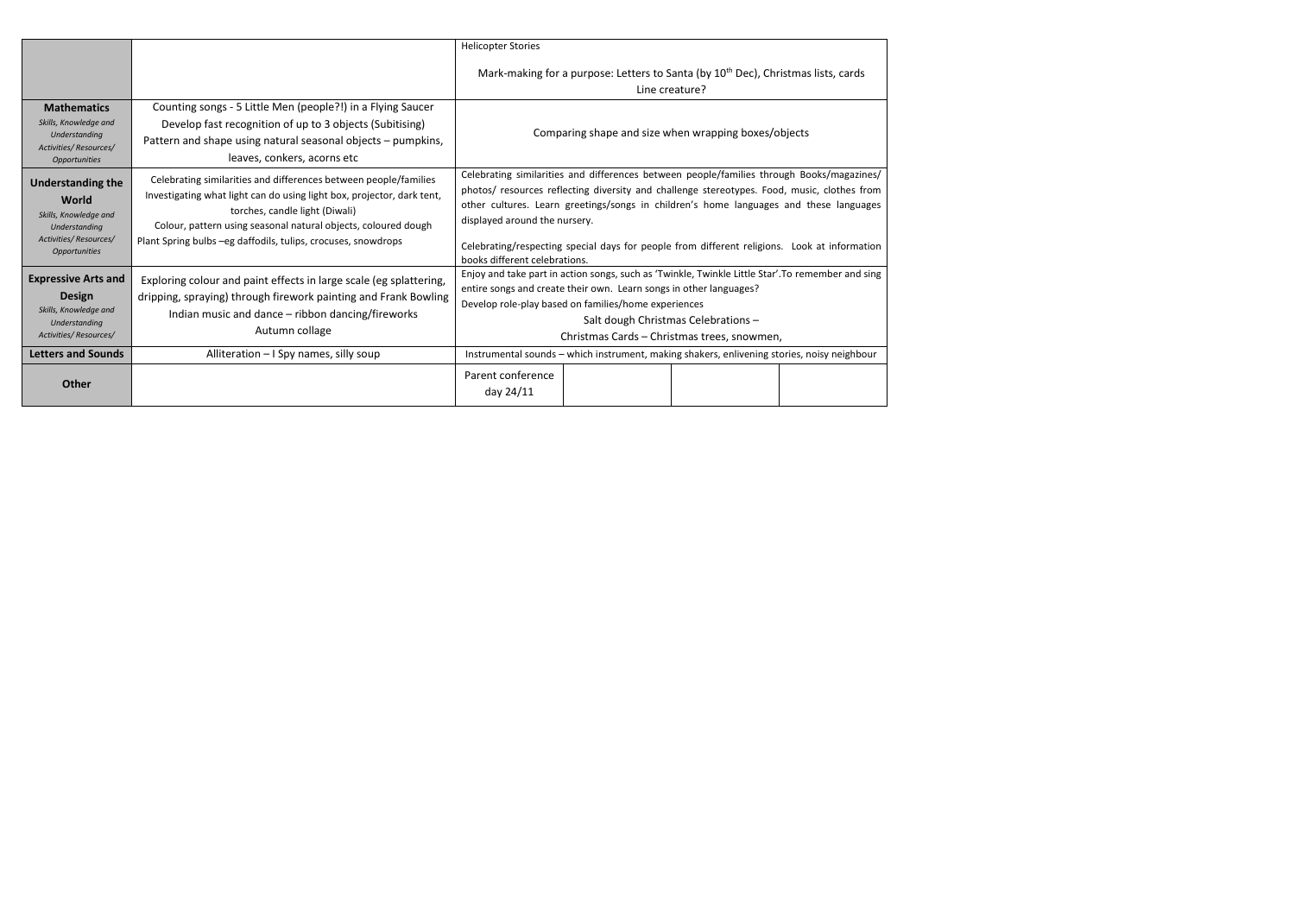|                                                                                                                                             |                                                                                                                                                                                                                                                                                                                                                                                                                                                                                                                                                                                                                                                                                                                                                                          | <b>Helicopter Stories</b>                                                                                                                                                                                                                                                                                                                                                                                            |  |  |  |  |  |
|---------------------------------------------------------------------------------------------------------------------------------------------|--------------------------------------------------------------------------------------------------------------------------------------------------------------------------------------------------------------------------------------------------------------------------------------------------------------------------------------------------------------------------------------------------------------------------------------------------------------------------------------------------------------------------------------------------------------------------------------------------------------------------------------------------------------------------------------------------------------------------------------------------------------------------|----------------------------------------------------------------------------------------------------------------------------------------------------------------------------------------------------------------------------------------------------------------------------------------------------------------------------------------------------------------------------------------------------------------------|--|--|--|--|--|
|                                                                                                                                             |                                                                                                                                                                                                                                                                                                                                                                                                                                                                                                                                                                                                                                                                                                                                                                          | Mark-making for a purpose: Letters to Santa (by 10 <sup>th</sup> Dec), Christmas lists, cards<br>Line creature?                                                                                                                                                                                                                                                                                                      |  |  |  |  |  |
| <b>Mathematics</b><br>Skills, Knowledge and<br>Understanding<br>Activities/Resources/<br><b>Opportunities</b>                               | Counting songs - 5 Little Men (people?!) in a Flying Saucer<br>Develop fast recognition of up to 3 objects (Subitising)<br>Pattern and shape using natural seasonal objects - pumpkins,<br>leaves, conkers, acorns etc                                                                                                                                                                                                                                                                                                                                                                                                                                                                                                                                                   | Comparing shape and size when wrapping boxes/objects                                                                                                                                                                                                                                                                                                                                                                 |  |  |  |  |  |
| <b>Understanding the</b><br>World<br>Skills, Knowledge and<br>Understanding<br>Activities/Resources/<br><b>Opportunities</b>                | Celebrating similarities and differences between people/families through Books/magazines/<br>Celebrating similarities and differences between people/families<br>photos/ resources reflecting diversity and challenge stereotypes. Food, music, clothes from<br>Investigating what light can do using light box, projector, dark tent,<br>other cultures. Learn greetings/songs in children's home languages and these languages<br>torches, candle light (Diwali)<br>displayed around the nursery.<br>Colour, pattern using seasonal natural objects, coloured dough<br>Plant Spring bulbs - eg daffodils, tulips, crocuses, snowdrops<br>Celebrating/respecting special days for people from different religions. Look at information<br>books different celebrations. |                                                                                                                                                                                                                                                                                                                                                                                                                      |  |  |  |  |  |
| <b>Expressive Arts and</b><br><b>Design</b><br>Skills, Knowledge and<br>Understanding<br>Activities/Resources/<br><b>Letters and Sounds</b> | Exploring colour and paint effects in large scale (eg splattering,<br>dripping, spraying) through firework painting and Frank Bowling<br>Indian music and dance – ribbon dancing/fireworks<br>Autumn collage<br>Alliteration - I Spy names, silly soup                                                                                                                                                                                                                                                                                                                                                                                                                                                                                                                   | Enjoy and take part in action songs, such as 'Twinkle, Twinkle Little Star'. To remember and sing<br>entire songs and create their own. Learn songs in other languages?<br>Develop role-play based on families/home experiences<br>Salt dough Christmas Celebrations -<br>Christmas Cards – Christmas trees, snowmen,<br>Instrumental sounds - which instrument, making shakers, enlivening stories, noisy neighbour |  |  |  |  |  |
| <b>Other</b>                                                                                                                                |                                                                                                                                                                                                                                                                                                                                                                                                                                                                                                                                                                                                                                                                                                                                                                          | Parent conference<br>day 24/11                                                                                                                                                                                                                                                                                                                                                                                       |  |  |  |  |  |